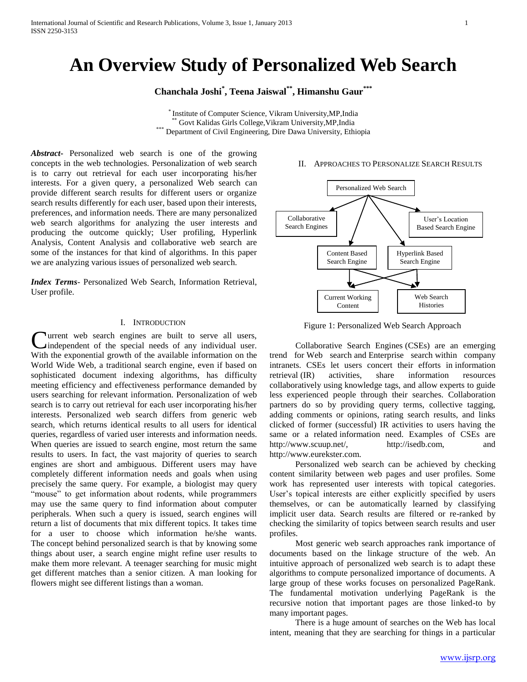# **An Overview Study of Personalized Web Search**

**Chanchala Joshi\* , Teena Jaiswal\*\*, Himanshu Gaur\*\*\***

\* Institute of Computer Science, Vikram University,MP,India Govt Kalidas Girls College, Vikram University, MP, India \*\*\* Department of Civil Engineering, Dire Dawa University, Ethiopia

*Abstract***-** Personalized web search is one of the growing concepts in the web technologies. Personalization of web search is to carry out retrieval for each user incorporating his/her interests. For a given query, a personalized Web search can provide different search results for different users or organize search results differently for each user, based upon their interests, preferences, and information needs. There are many personalized web search algorithms for analyzing the user interests and producing the outcome quickly; User profiling, Hyperlink Analysis, Content Analysis and collaborative web search are some of the instances for that kind of algorithms. In this paper we are analyzing various issues of personalized web search.

*Index Terms*- Personalized Web Search, Information Retrieval, User profile.

## I. INTRODUCTION

**Nurrent** web search engines are built to serve all users, independent of the special needs of any individual user. **C**urrent web search engines are built to serve all users, independent of the special needs of any individual user. With the exponential growth of the available information on the World Wide Web, a traditional search engine, even if based on sophisticated document indexing algorithms, has difficulty meeting efficiency and effectiveness performance demanded by users searching for relevant information. Personalization of web search is to carry out retrieval for each user incorporating his/her interests. Personalized web search differs from generic web search, which returns identical results to all users for identical queries, regardless of varied user interests and information needs. When queries are issued to search engine, most return the same results to users. In fact, the vast majority of queries to search engines are short and ambiguous. Different users may have completely different information needs and goals when using precisely the same query. For example, a biologist may query "mouse" to get information about rodents, while programmers may use the same query to find information about computer peripherals. When such a query is issued, search engines will return a list of documents that mix different topics. It takes time for a user to choose which information he/she wants. The concept behind personalized search is that by knowing some things about user, a search engine might refine user results to make them more relevant. A teenager searching for music might get different matches than a senior citizen. A man looking for flowers might see different listings than a woman.

## II. APPROACHES TO PERSONALIZE SEARCH RESULTS



Figure 1: Personalized Web Search Approach

 Collaborative Search Engines (CSEs) are an emerging trend for Web search and Enterprise search within company intranets. CSEs let users concert their efforts in information retrieval (IR) activities, share information resources collaboratively using knowledge tags, and allow experts to guide less experienced people through their searches. Collaboration partners do so by providing query terms, collective tagging, adding comments or opinions, rating search results, and links clicked of former (successful) IR activities to users having the same or a related information need. Examples of CSEs are http://www.scuup.net/, http://isedb.com, and http://www.eurekster.com.

 Personalized web search can be achieved by checking content similarity between web pages and user profiles. Some work has represented user interests with topical categories. User's topical interests are either explicitly specified by users themselves, or can be automatically learned by classifying implicit user data. Search results are filtered or re-ranked by checking the similarity of topics between search results and user profiles.

 Most generic web search approaches rank importance of documents based on the linkage structure of the web. An intuitive approach of personalized web search is to adapt these algorithms to compute personalized importance of documents. A large group of these works focuses on personalized PageRank. The fundamental motivation underlying PageRank is the recursive notion that important pages are those linked-to by many important pages.

 There is a huge amount of searches on the Web has local intent, meaning that they are searching for things in a particular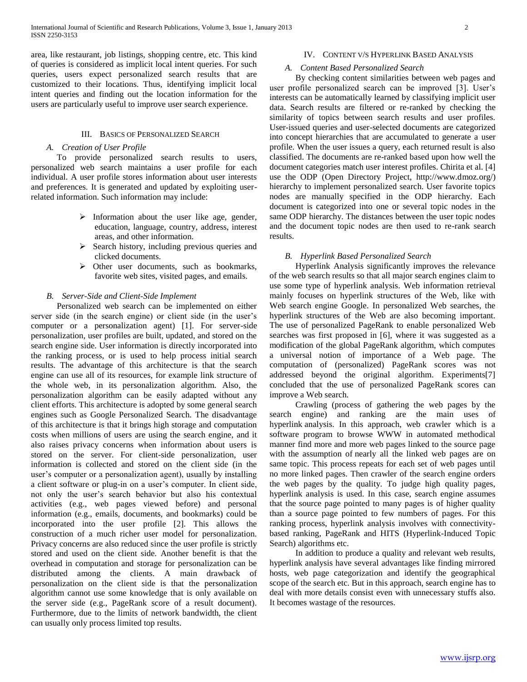area, like restaurant, job listings, shopping centre, etc. This kind of queries is considered as implicit local intent queries. For such queries, users expect personalized search results that are customized to their locations. Thus, identifying implicit local intent queries and finding out the location information for the users are particularly useful to improve user search experience.

## III. BASICS OF PERSONALIZED SEARCH

## *A. Creation of User Profile*

 To provide personalized search results to users, personalized web search maintains a user profile for each individual. A user profile stores information about user interests and preferences. It is generated and updated by exploiting userrelated information. Such information may include:

- $\triangleright$  Information about the user like age, gender, education, language, country, address, interest areas, and other information.
- $\triangleright$  Search history, including previous queries and clicked documents.
- Other user documents, such as bookmarks, favorite web sites, visited pages, and emails.

## *B. Server-Side and Client-Side Implement*

 Personalized web search can be implemented on either server side (in the search engine) or client side (in the user's computer or a personalization agent) [1]. For server-side personalization, user profiles are built, updated, and stored on the search engine side. User information is directly incorporated into the ranking process, or is used to help process initial search results. The advantage of this architecture is that the search engine can use all of its resources, for example link structure of the whole web, in its personalization algorithm. Also, the personalization algorithm can be easily adapted without any client efforts. This architecture is adopted by some general search engines such as Google Personalized Search. The disadvantage of this architecture is that it brings high storage and computation costs when millions of users are using the search engine, and it also raises privacy concerns when information about users is stored on the server. For client-side personalization, user information is collected and stored on the client side (in the user's computer or a personalization agent), usually by installing a client software or plug-in on a user's computer. In client side, not only the user's search behavior but also his contextual activities (e.g., web pages viewed before) and personal information (e.g., emails, documents, and bookmarks) could be incorporated into the user profile [2]. This allows the construction of a much richer user model for personalization. Privacy concerns are also reduced since the user profile is strictly stored and used on the client side. Another benefit is that the overhead in computation and storage for personalization can be distributed among the clients. A main drawback of personalization on the client side is that the personalization algorithm cannot use some knowledge that is only available on the server side (e.g., PageRank score of a result document). Furthermore, due to the limits of network bandwidth, the client can usually only process limited top results.

## IV. CONTENT V/S HYPERLINK BASED ANALYSIS

## *A. Content Based Personalized Search*

 By checking content similarities between web pages and user profile personalized search can be improved [3]. User's interests can be automatically learned by classifying implicit user data. Search results are filtered or re-ranked by checking the similarity of topics between search results and user profiles. User-issued queries and user-selected documents are categorized into concept hierarchies that are accumulated to generate a user profile. When the user issues a query, each returned result is also classified. The documents are re-ranked based upon how well the document categories match user interest profiles. Chirita et al. [4] use the ODP (Open Directory Project, http://www.dmoz.org/) hierarchy to implement personalized search. User favorite topics nodes are manually specified in the ODP hierarchy. Each document is categorized into one or several topic nodes in the same ODP hierarchy. The distances between the user topic nodes and the document topic nodes are then used to re-rank search results.

# *B. Hyperlink Based Personalized Search*

 Hyperlink Analysis significantly improves the relevance of the web search results so that all major search engines claim to use some type of hyperlink analysis. Web information retrieval mainly focuses on hyperlink structures of the Web, like with Web search engine Google. In personalized Web searches, the hyperlink structures of the Web are also becoming important. The use of personalized PageRank to enable personalized Web searches was first proposed in [6], where it was suggested as a modification of the global PageRank algorithm, which computes a universal notion of importance of a Web page. The computation of (personalized) PageRank scores was not addressed beyond the original algorithm. Experiments[7] concluded that the use of personalized PageRank scores can improve a Web search.

 Crawling (process of gathering the web pages by the search engine) and ranking are the main uses of hyperlink analysis. In this approach, web crawler which is a software program to browse WWW in automated methodical manner find more and more web pages linked to the source page with the assumption of nearly all the linked web pages are on same topic. This process repeats for each set of web pages until no more linked pages. Then crawler of the search engine orders the web pages by the quality. To judge high quality pages, hyperlink analysis is used. In this case, search engine assumes that the source page pointed to many pages is of higher quality than a source page pointed to few numbers of pages. For this ranking process, hyperlink analysis involves with connectivitybased ranking, PageRank and HITS (Hyperlink-Induced Topic Search) algorithms etc.

 In addition to produce a quality and relevant web results, hyperlink analysis have several advantages like finding mirrored hosts, web page categorization and identify the geographical scope of the search etc. But in this approach, search engine has to deal with more details consist even with unnecessary stuffs also. It becomes wastage of the resources.